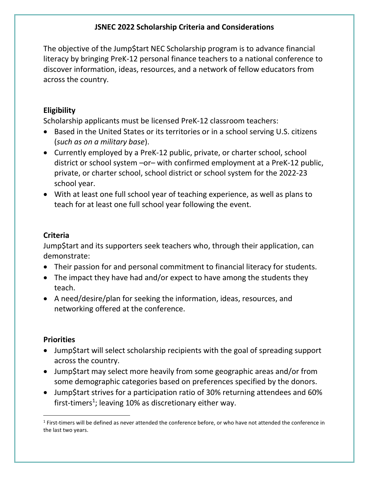### **JSNEC 2022 Scholarship Criteria and Considerations**

The objective of the Jump\$tart NEC Scholarship program is to advance financial literacy by bringing PreK-12 personal finance teachers to a national conference to discover information, ideas, resources, and a network of fellow educators from across the country.

# **Eligibility**

Scholarship applicants must be licensed PreK-12 classroom teachers:

- Based in the United States or its territories or in a school serving U.S. citizens (*such as on a military base*).
- Currently employed by a PreK-12 public, private, or charter school, school district or school system –or– with confirmed employment at a PreK-12 public, private, or charter school, school district or school system for the 2022-23 school year.
- With at least one full school year of teaching experience, as well as plans to teach for at least one full school year following the event.

## **Criteria**

Jump\$tart and its supporters seek teachers who, through their application, can demonstrate:

- Their passion for and personal commitment to financial literacy for students.
- The impact they have had and/or expect to have among the students they teach.
- A need/desire/plan for seeking the information, ideas, resources, and networking offered at the conference.

### **Priorities**

- Jump\$tart will select scholarship recipients with the goal of spreading support across the country.
- Jump\$tart may select more heavily from some geographic areas and/or from some demographic categories based on preferences specified by the donors.
- Jump\$tart strives for a participation ratio of 30% returning attendees and 60% first-timers<sup>1</sup>; leaving 10% as discretionary either way.

 $1$  First-timers will be defined as never attended the conference before, or who have not attended the conference in the last two years.